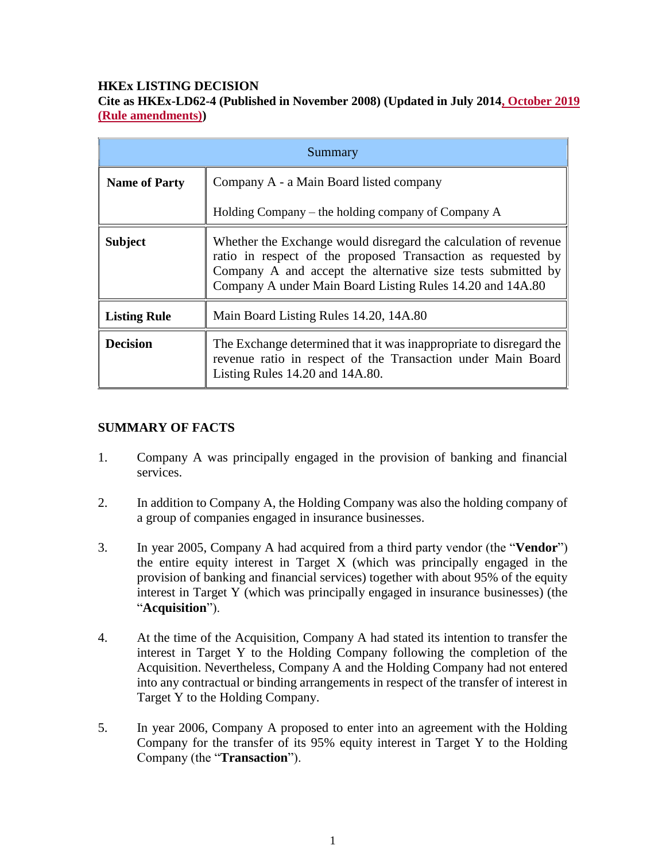## **HKEx LISTING DECISION**

# **Cite as HKEx-LD62-4 (Published in November 2008) (Updated in July 2014, October 2019 (Rule amendments))**

| Summary              |                                                                                                                                                                                                                                                              |
|----------------------|--------------------------------------------------------------------------------------------------------------------------------------------------------------------------------------------------------------------------------------------------------------|
| <b>Name of Party</b> | Company A - a Main Board listed company                                                                                                                                                                                                                      |
|                      | Holding Company – the holding company of Company A                                                                                                                                                                                                           |
| <b>Subject</b>       | Whether the Exchange would disregard the calculation of revenue<br>ratio in respect of the proposed Transaction as requested by<br>Company A and accept the alternative size tests submitted by<br>Company A under Main Board Listing Rules 14.20 and 14A.80 |
| <b>Listing Rule</b>  | Main Board Listing Rules 14.20, 14A.80                                                                                                                                                                                                                       |
| <b>Decision</b>      | The Exchange determined that it was inappropriate to disregard the<br>revenue ratio in respect of the Transaction under Main Board<br>Listing Rules 14.20 and 14A.80.                                                                                        |

#### **SUMMARY OF FACTS**

- 1. Company A was principally engaged in the provision of banking and financial services.
- 2. In addition to Company A, the Holding Company was also the holding company of a group of companies engaged in insurance businesses.
- 3. In year 2005, Company A had acquired from a third party vendor (the "**Vendor**") the entire equity interest in Target X (which was principally engaged in the provision of banking and financial services) together with about 95% of the equity interest in Target Y (which was principally engaged in insurance businesses) (the "**Acquisition**").
- 4. At the time of the Acquisition, Company A had stated its intention to transfer the interest in Target Y to the Holding Company following the completion of the Acquisition. Nevertheless, Company A and the Holding Company had not entered into any contractual or binding arrangements in respect of the transfer of interest in Target Y to the Holding Company.
- 5. In year 2006, Company A proposed to enter into an agreement with the Holding Company for the transfer of its 95% equity interest in Target Y to the Holding Company (the "**Transaction**").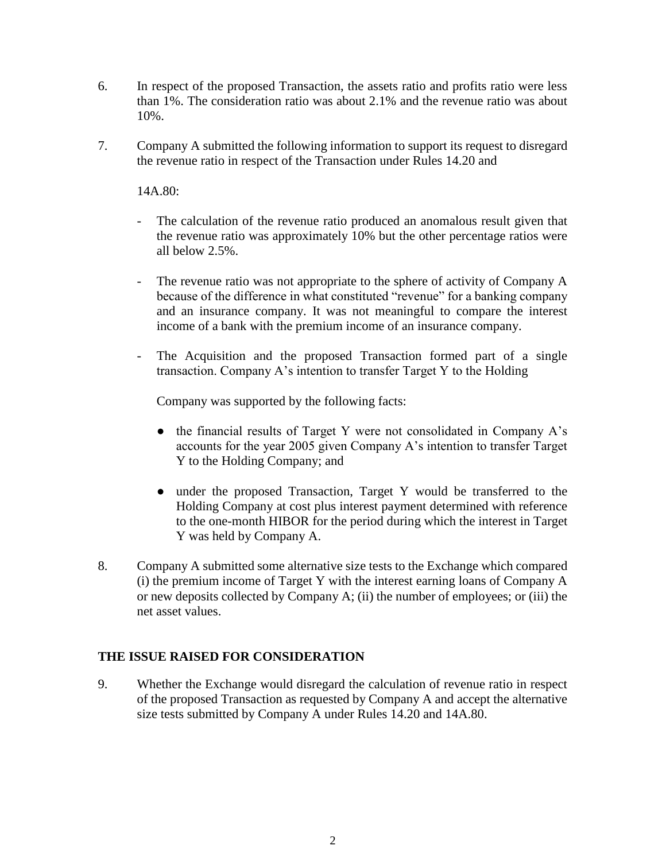- 6. In respect of the proposed Transaction, the assets ratio and profits ratio were less than 1%. The consideration ratio was about 2.1% and the revenue ratio was about 10%.
- 7. Company A submitted the following information to support its request to disregard the revenue ratio in respect of the Transaction under Rules 14.20 and

14A.80:

- The calculation of the revenue ratio produced an anomalous result given that the revenue ratio was approximately 10% but the other percentage ratios were all below 2.5%.
- The revenue ratio was not appropriate to the sphere of activity of Company A because of the difference in what constituted "revenue" for a banking company and an insurance company. It was not meaningful to compare the interest income of a bank with the premium income of an insurance company.
- The Acquisition and the proposed Transaction formed part of a single transaction. Company A's intention to transfer Target Y to the Holding

Company was supported by the following facts:

- the financial results of Target Y were not consolidated in Company A's accounts for the year 2005 given Company A's intention to transfer Target Y to the Holding Company; and
- under the proposed Transaction, Target Y would be transferred to the Holding Company at cost plus interest payment determined with reference to the one-month HIBOR for the period during which the interest in Target Y was held by Company A.
- 8. Company A submitted some alternative size tests to the Exchange which compared (i) the premium income of Target Y with the interest earning loans of Company A or new deposits collected by Company A; (ii) the number of employees; or (iii) the net asset values.

# **THE ISSUE RAISED FOR CONSIDERATION**

9. Whether the Exchange would disregard the calculation of revenue ratio in respect of the proposed Transaction as requested by Company A and accept the alternative size tests submitted by Company A under Rules 14.20 and 14A.80.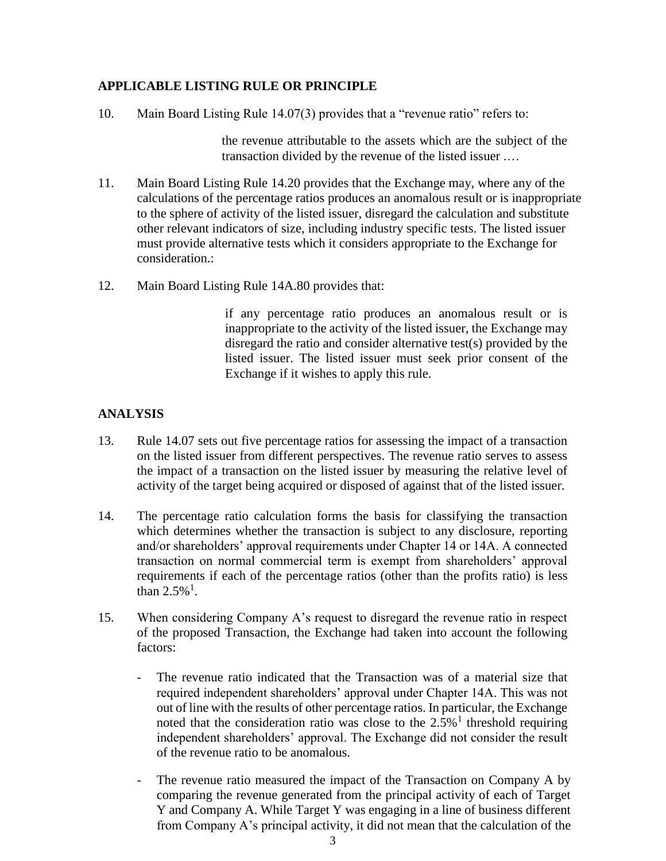#### **APPLICABLE LISTING RULE OR PRINCIPLE**

10. Main Board Listing Rule 14.07(3) provides that a "revenue ratio" refers to:

the revenue attributable to the assets which are the subject of the transaction divided by the revenue of the listed issuer .…

- 11. Main Board Listing Rule 14.20 provides that the Exchange may, where any of the calculations of the percentage ratios produces an anomalous result or is inappropriate to the sphere of activity of the listed issuer, disregard the calculation and substitute other relevant indicators of size, including industry specific tests. The listed issuer must provide alternative tests which it considers appropriate to the Exchange for consideration.:
- 12. Main Board Listing Rule 14A.80 provides that:

if any percentage ratio produces an anomalous result or is inappropriate to the activity of the listed issuer, the Exchange may disregard the ratio and consider alternative test(s) provided by the listed issuer. The listed issuer must seek prior consent of the Exchange if it wishes to apply this rule.

#### **ANALYSIS**

- 13. Rule 14.07 sets out five percentage ratios for assessing the impact of a transaction on the listed issuer from different perspectives. The revenue ratio serves to assess the impact of a transaction on the listed issuer by measuring the relative level of activity of the target being acquired or disposed of against that of the listed issuer.
- 14. The percentage ratio calculation forms the basis for classifying the transaction which determines whether the transaction is subject to any disclosure, reporting and/or shareholders' approval requirements under Chapter 14 or 14A. A connected transaction on normal commercial term is exempt from shareholders' approval requirements if each of the percentage ratios (other than the profits ratio) is less than  $2.5\%$ <sup>1</sup>.
- 15. When considering Company A's request to disregard the revenue ratio in respect of the proposed Transaction, the Exchange had taken into account the following factors:
	- The revenue ratio indicated that the Transaction was of a material size that required independent shareholders' approval under Chapter 14A. This was not out of line with the results of other percentage ratios. In particular, the Exchange noted that the consideration ratio was close to the  $2.5\%$ <sup>1</sup> threshold requiring independent shareholders' approval. The Exchange did not consider the result of the revenue ratio to be anomalous.
	- The revenue ratio measured the impact of the Transaction on Company A by comparing the revenue generated from the principal activity of each of Target Y and Company A. While Target Y was engaging in a line of business different from Company A's principal activity, it did not mean that the calculation of the